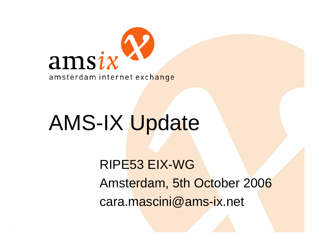

# AMS-IX Update

RIPE53 EIX-WGAmsterdam, 5th October 2006 cara.mascini@ams-ix.net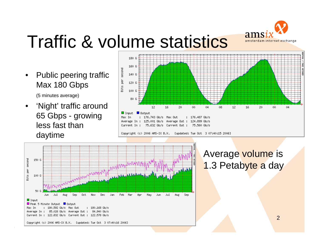

## Traffic & volume statistics

- • Public peering traffic Max 180 Gbps (5 minutes average)
- • 'Night' traffic around 65 Gbps - growing less fast than daytime



Copyright (c) 2006 AMS-IX B.V. Eupdated: Tue Oct 3 07:40:15 2006]



#### Average volume is 1.3 Petabyte a day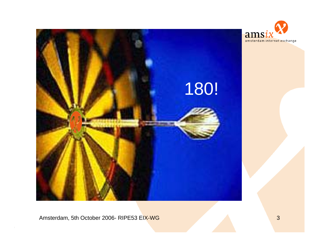

Amsterdam, 5th October 2006- RIPE53 EIX-WG 3 3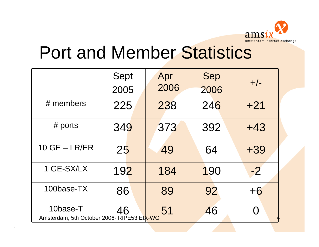

### Port and Member Statistics

|                                                        | Sept<br>2005 | Apr<br>2006 | Sep<br>2006 | $+/-$ |
|--------------------------------------------------------|--------------|-------------|-------------|-------|
| $#$ members                                            | 225          | 238         | 246         | $+21$ |
| # ports                                                | 349          | 373         | 392         | $+43$ |
| $10$ GE $-$ LR/ER                                      | 25           | 49          | 64          | $+39$ |
| 1 GE-SX/LX                                             | 192          | 184         | 190         | $-2$  |
| 100base-TX                                             | 86           | 89          | 92          | $+6$  |
| 10base-T<br>Amsterdam, 5th October 2006- RIPE53 EIX-WG | 46           | 51          | 46          |       |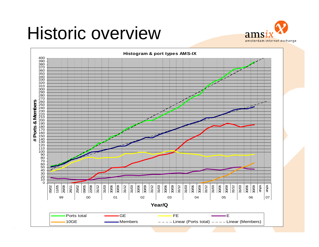#### Historic overview



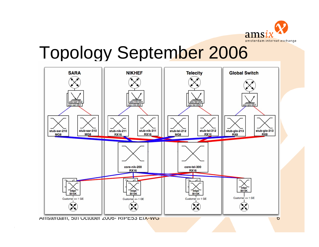

#### Topology September 2006



Amsterdam, 5th October 2006- RIPE53 EIX-WG 6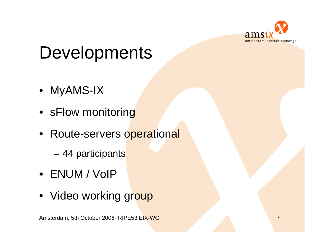

## **Developments**

- MyAMS-IX
- sFlow monitoring
- Route-servers operational
	- **Links of the Common** 44 participants
- ENUM / VoIP
- Video working gr<mark>oup</mark>

Amsterdam, 5th October 2006- RIPE53 EIX-WG 7 Amsterdam, 5th October 2006- RIPE53 EIX-WG